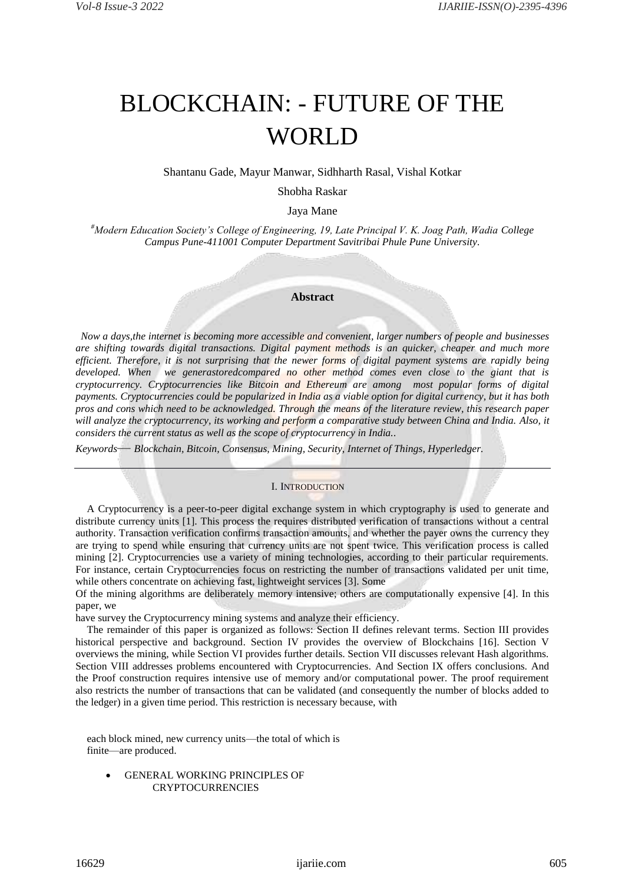## BLOCKCHAIN: - FUTURE OF THE WORLD

Shantanu Gade, Mayur Manwar, Sidhharth Rasal, Vishal Kotkar

Shobha Raskar

Jaya Mane

*#Modern Education Society's College of Engineering, 19, Late Principal V. K. Joag Path, Wadia College Campus Pune-411001 Computer Department Savitribai Phule Pune University.*

## **Abstract**

*Now a days,the internet is becoming more accessible and convenient, larger numbers of people and businesses are shifting towards digital transactions. Digital payment methods is an quicker, cheaper and much more efficient. Therefore, it is not surprising that the newer forms of digital payment systems are rapidly being developed. When we generastoredcompared no other method comes even close to the giant that is cryptocurrency. Cryptocurrencies like Bitcoin and Ethereum are among most popular forms of digital payments. Cryptocurrencies could be popularized in India as a viable option for digital currency, but it has both pros and cons which need to be acknowledged. Through the means of the literature review, this research paper*  will analyze the cryptocurrency, its working and perform a comparative study between China and India. Also, it *considers the current status as well as the scope of cryptocurrency in India..*

*Keywords— Blockchain, Bitcoin, Consensus, Mining, Security, Internet of Things, Hyperledger.*

## I. INTRODUCTION

A Cryptocurrency is a peer-to-peer digital exchange system in which cryptography is used to generate and distribute currency units [1]. This process the requires distributed verification of transactions without a central authority. Transaction verification confirms transaction amounts, and whether the payer owns the currency they are trying to spend while ensuring that currency units are not spent twice. This verification process is called mining [2]. Cryptocurrencies use a variety of mining technologies, according to their particular requirements. For instance, certain Cryptocurrencies focus on restricting the number of transactions validated per unit time, while others concentrate on achieving fast, lightweight services [3]. Some

Of the mining algorithms are deliberately memory intensive; others are computationally expensive [4]. In this paper, we

have survey the Cryptocurrency mining systems and analyze their efficiency.

The remainder of this paper is organized as follows: Section II defines relevant terms. Section III provides historical perspective and background. Section IV provides the overview of Blockchains [16]. Section V overviews the mining, while Section VI provides further details. Section VII discusses relevant Hash algorithms. Section VIII addresses problems encountered with Cryptocurrencies. And Section IX offers conclusions. And the Proof construction requires intensive use of memory and/or computational power. The proof requirement also restricts the number of transactions that can be validated (and consequently the number of blocks added to the ledger) in a given time period. This restriction is necessary because, with

each block mined, new currency units—the total of which is finite—are produced.

 GENERAL WORKING PRINCIPLES OF **CRYPTOCURRENCIES**